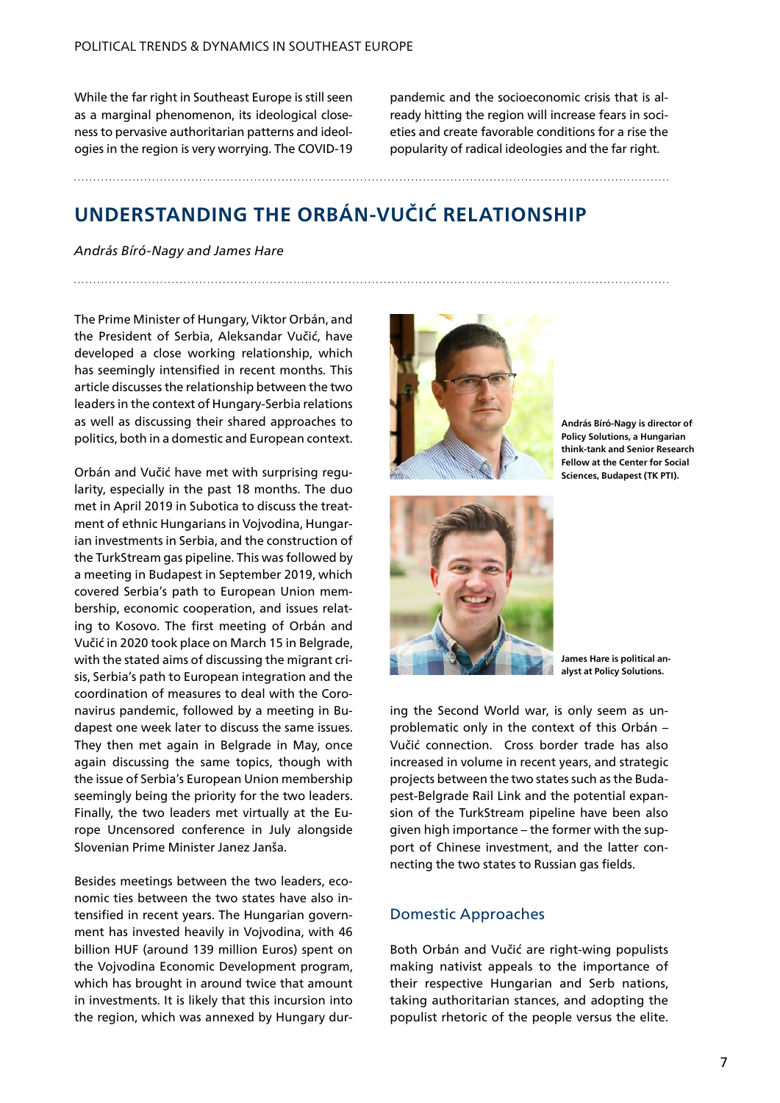While the far right in Southeast Europe is still seen as a marginal phenomenon, its ideological closeness to pervasive authoritarian patterns and ideologies in the region is very worrying. The COVID-19

pandemic and the socioeconomic crisis that is already hitting the region will increase fears in societies and create favorable conditions for a rise the popularity of radical ideologies and the far right.

# **UNDERSTANDING THE ORBÁN-VUČIĆ RELATIONSHIP**

*András Bíró-Nagy and James Hare* 

The Prime Minister of Hungary, Viktor Orbán, and the President of Serbia, Aleksandar Vučić, have developed a close working relationship, which has seemingly intensified in recent months. This article discusses the relationship between the two leaders in the context of Hungary-Serbia relations as well as discussing their shared approaches to politics, both in a domestic and European context.

Orbán and Vučić have met with surprising regularity, especially in the past 18 months. The duo met in April 2019 in Subotica to discuss the treatment of ethnic Hungarians in Vojvodina, Hungarian investments in Serbia, and the construction of the TurkStream gas pipeline. This was followed by a meeting in Budapest in September 2019, which covered Serbia's path to European Union membership, economic cooperation, and issues relating to Kosovo. The first meeting of Orbán and Vučić in 2020 took place on March 15 in Belgrade, with the stated aims of discussing the migrant crisis, Serbia's path to European integration and the coordination of measures to deal with the Coronavirus pandemic, followed by a meeting in Budapest one week later to discuss the same issues. They then met again in Belgrade in May, once again discussing the same topics, though with the issue of Serbia's European Union membership seemingly being the priority for the two leaders. Finally, the two leaders met virtually at the Europe Uncensored conference in July alongside Slovenian Prime Minister Janez Janša.

Besides meetings between the two leaders, economic ties between the two states have also intensified in recent years. The Hungarian government has invested heavily in Vojvodina, with 46 billion HUF (around 139 million Euros) spent on the Vojvodina Economic Development program, which has brought in around twice that amount in investments. It is likely that this incursion into the region, which was annexed by Hungary dur-



**András Bíró-Nagy is director of Policy Solutions, a Hungarian think-tank and Senior Research Fellow at the Center for Social Sciences, Budapest (TK PTI).**



**James Hare is political analyst at Policy Solutions.** 

ing the Second World war, is only seem as unproblematic only in the context of this Orbán – Vučić connection. Cross border trade has also increased in volume in recent years, and strategic projects between the two states such as the Budapest-Belgrade Rail Link and the potential expansion of the TurkStream pipeline have been also given high importance – the former with the support of Chinese investment, and the latter connecting the two states to Russian gas fields.

#### Domestic Approaches

Both Orbán and Vučić are right-wing populists making nativist appeals to the importance of their respective Hungarian and Serb nations, taking authoritarian stances, and adopting the populist rhetoric of the people versus the elite.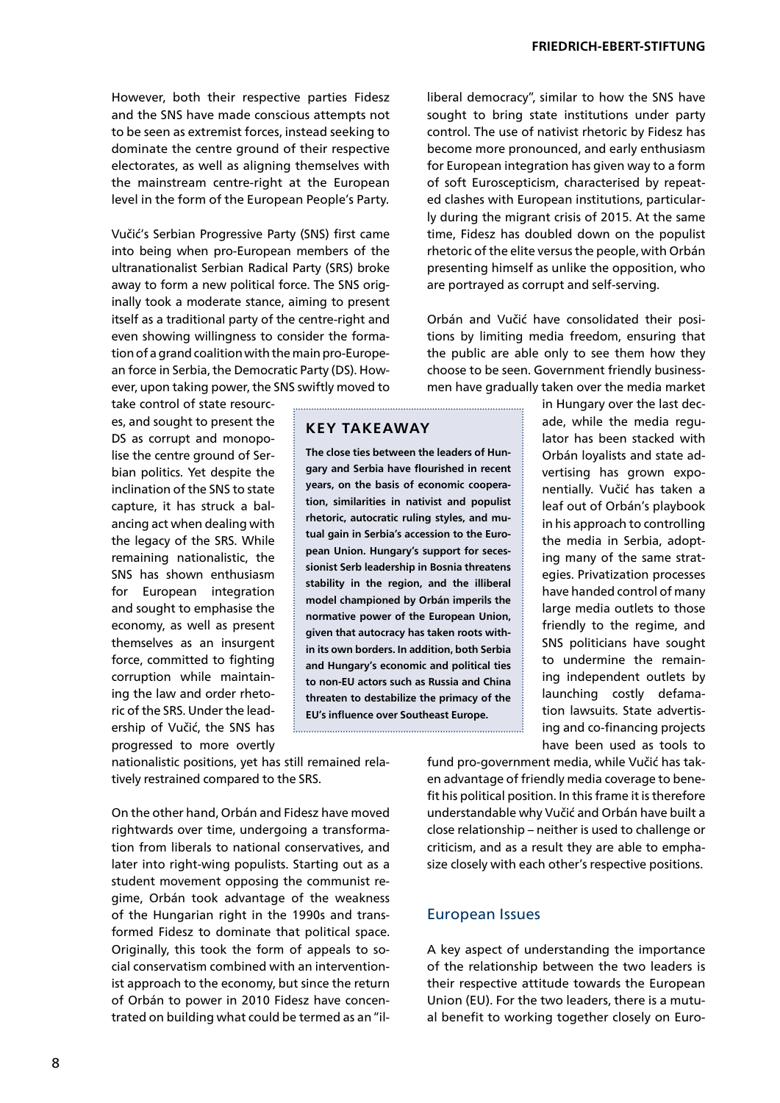However, both their respective parties Fidesz and the SNS have made conscious attempts not to be seen as extremist forces, instead seeking to dominate the centre ground of their respective electorates, as well as aligning themselves with the mainstream centre-right at the European level in the form of the European People's Party.

Vučić's Serbian Progressive Party (SNS) first came into being when pro-European members of the ultranationalist Serbian Radical Party (SRS) broke away to form a new political force. The SNS originally took a moderate stance, aiming to present itself as a traditional party of the centre-right and even showing willingness to consider the formation of a grand coalition with the main pro-European force in Serbia, the Democratic Party (DS). However, upon taking power, the SNS swiftly moved to

take control of state resources, and sought to present the DS as corrupt and monopolise the centre ground of Serbian politics. Yet despite the inclination of the SNS to state capture, it has struck a balancing act when dealing with the legacy of the SRS. While remaining nationalistic, the SNS has shown enthusiasm for European integration and sought to emphasise the economy, as well as present themselves as an insurgent force, committed to fighting corruption while maintaining the law and order rhetoric of the SRS. Under the leadership of Vučić, the SNS has progressed to more overtly

**KEY TAKEAWAY** 

**The close ties between the leaders of Hungary and Serbia have flourished in recent years, on the basis of economic cooperation, similarities in nativist and populist rhetoric, autocratic ruling styles, and mutual gain in Serbia's accession to the European Union. Hungary's support for secessionist Serb leadership in Bosnia threatens stability in the region, and the illiberal model championed by Orbán imperils the normative power of the European Union, given that autocracy has taken roots within its own borders. In addition, both Serbia and Hungary's economic and political ties to non-EU actors such as Russia and China threaten to destabilize the primacy of the EU's influence over Southeast Europe.**

liberal democracy", similar to how the SNS have sought to bring state institutions under party control. The use of nativist rhetoric by Fidesz has become more pronounced, and early enthusiasm for European integration has given way to a form of soft Euroscepticism, characterised by repeated clashes with European institutions, particularly during the migrant crisis of 2015. At the same time, Fidesz has doubled down on the populist rhetoric of the elite versus the people, with Orbán presenting himself as unlike the opposition, who are portrayed as corrupt and self-serving.

Orbán and Vučić have consolidated their positions by limiting media freedom, ensuring that the public are able only to see them how they choose to be seen. Government friendly businessmen have gradually taken over the media market

> in Hungary over the last decade, while the media regulator has been stacked with Orbán loyalists and state advertising has grown exponentially. Vučić has taken a leaf out of Orbán's playbook in his approach to controlling the media in Serbia, adopting many of the same strategies. Privatization processes have handed control of many large media outlets to those friendly to the regime, and SNS politicians have sought to undermine the remaining independent outlets by launching costly defamation lawsuits. State advertising and co-financing projects have been used as tools to

nationalistic positions, yet has still remained relatively restrained compared to the SRS.

On the other hand, Orbán and Fidesz have moved rightwards over time, undergoing a transformation from liberals to national conservatives, and later into right-wing populists. Starting out as a student movement opposing the communist regime, Orbán took advantage of the weakness of the Hungarian right in the 1990s and transformed Fidesz to dominate that political space. Originally, this took the form of appeals to social conservatism combined with an interventionist approach to the economy, but since the return of Orbán to power in 2010 Fidesz have concentrated on building what could be termed as an "ilfund pro-government media, while Vučić has taken advantage of friendly media coverage to benefit his political position. In this frame it is therefore understandable why Vučić and Orbán have built a close relationship – neither is used to challenge or criticism, and as a result they are able to emphasize closely with each other's respective positions.

#### European Issues

A key aspect of understanding the importance of the relationship between the two leaders is their respective attitude towards the European Union (EU). For the two leaders, there is a mutual benefit to working together closely on Euro-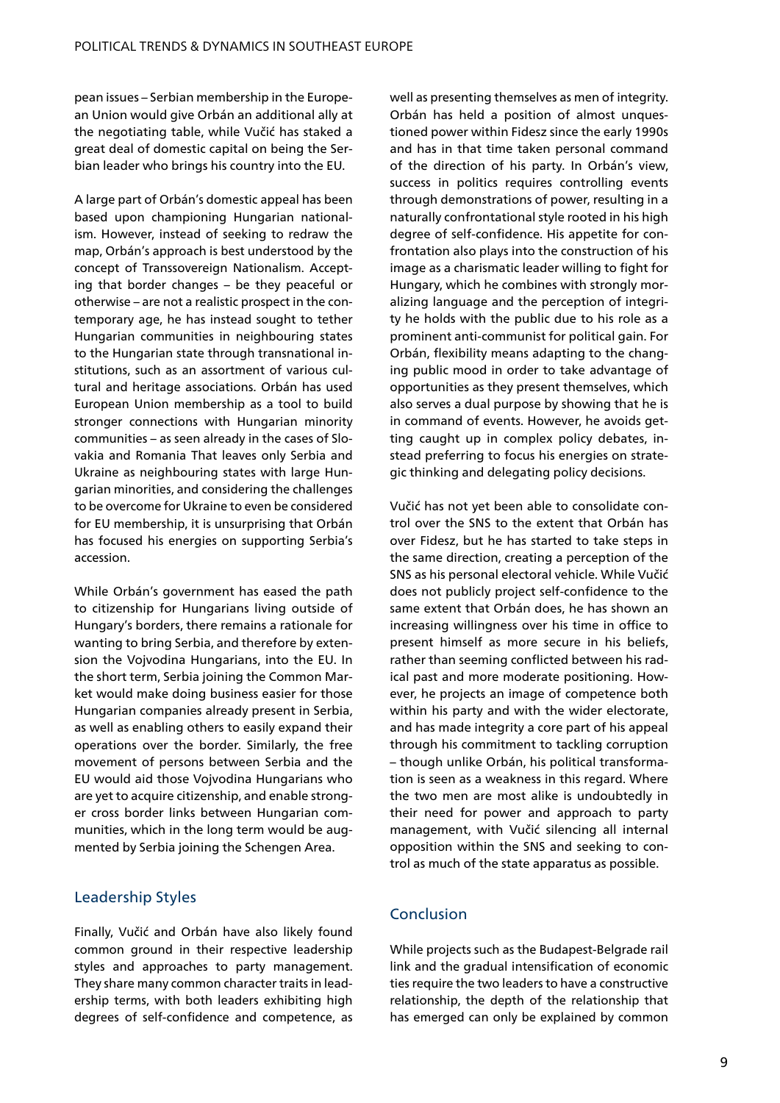pean issues – Serbian membership in the European Union would give Orbán an additional ally at the negotiating table, while Vučić has staked a great deal of domestic capital on being the Serbian leader who brings his country into the EU.

A large part of Orbán's domestic appeal has been based upon championing Hungarian nationalism. However, instead of seeking to redraw the map, Orbán's approach is best understood by the concept of Transsovereign Nationalism. Accepting that border changes – be they peaceful or otherwise – are not a realistic prospect in the contemporary age, he has instead sought to tether Hungarian communities in neighbouring states to the Hungarian state through transnational institutions, such as an assortment of various cultural and heritage associations. Orbán has used European Union membership as a tool to build stronger connections with Hungarian minority communities – as seen already in the cases of Slovakia and Romania That leaves only Serbia and Ukraine as neighbouring states with large Hungarian minorities, and considering the challenges to be overcome for Ukraine to even be considered for EU membership, it is unsurprising that Orbán has focused his energies on supporting Serbia's accession.

While Orbán's government has eased the path to citizenship for Hungarians living outside of Hungary's borders, there remains a rationale for wanting to bring Serbia, and therefore by extension the Vojvodina Hungarians, into the EU. In the short term, Serbia joining the Common Market would make doing business easier for those Hungarian companies already present in Serbia, as well as enabling others to easily expand their operations over the border. Similarly, the free movement of persons between Serbia and the EU would aid those Vojvodina Hungarians who are yet to acquire citizenship, and enable stronger cross border links between Hungarian communities, which in the long term would be augmented by Serbia joining the Schengen Area.

### Leadership Styles

Finally, Vučić and Orbán have also likely found common ground in their respective leadership styles and approaches to party management. They share many common character traits in leadership terms, with both leaders exhibiting high degrees of self-confidence and competence, as

well as presenting themselves as men of integrity. Orbán has held a position of almost unquestioned power within Fidesz since the early 1990s and has in that time taken personal command of the direction of his party. In Orbán's view, success in politics requires controlling events through demonstrations of power, resulting in a naturally confrontational style rooted in his high degree of self-confidence. His appetite for confrontation also plays into the construction of his image as a charismatic leader willing to fight for Hungary, which he combines with strongly moralizing language and the perception of integrity he holds with the public due to his role as a prominent anti-communist for political gain. For Orbán, flexibility means adapting to the changing public mood in order to take advantage of opportunities as they present themselves, which also serves a dual purpose by showing that he is in command of events. However, he avoids getting caught up in complex policy debates, instead preferring to focus his energies on strategic thinking and delegating policy decisions.

Vučić has not yet been able to consolidate control over the SNS to the extent that Orbán has over Fidesz, but he has started to take steps in the same direction, creating a perception of the SNS as his personal electoral vehicle. While Vučić does not publicly project self-confidence to the same extent that Orbán does, he has shown an increasing willingness over his time in office to present himself as more secure in his beliefs, rather than seeming conflicted between his radical past and more moderate positioning. However, he projects an image of competence both within his party and with the wider electorate, and has made integrity a core part of his appeal through his commitment to tackling corruption – though unlike Orbán, his political transformation is seen as a weakness in this regard. Where the two men are most alike is undoubtedly in their need for power and approach to party management, with Vučić silencing all internal opposition within the SNS and seeking to control as much of the state apparatus as possible.

## Conclusion

While projects such as the Budapest-Belgrade rail link and the gradual intensification of economic ties require the two leaders to have a constructive relationship, the depth of the relationship that has emerged can only be explained by common